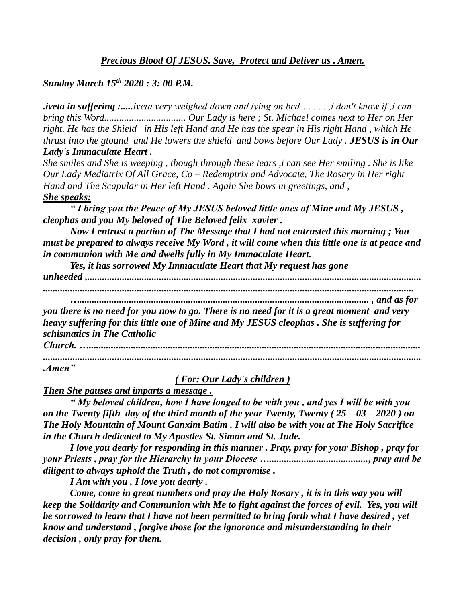## *Precious Blood Of JESUS. Save, Protect and Deliver us . Amen.*

#### *Sunday March 15th 2020 : 3: 00 P.M.*

*.iveta in suffering :.....iveta very weighed down and lying on bed ….......,i don't know if ,i can bring this Word................................. Our Lady is here ; St. Michael comes next to Her on Her right. He has the Shield in His left Hand and He has the spear in His right Hand , which He thrust into the gtound and He lowers the shield and bows before Our Lady . JESUS is in Our Lady's Immaculate Heart .*

*She smiles and She is weeping , though through these tears ,i can see Her smiling . She is like Our Lady Mediatrix Of All Grace, Co – Redemptrix and Advocate, The Rosary in Her right Hand and The Scapular in Her left Hand . Again She bows in greetings, and ; She speaks:*

*" I bring you the Peace of My JESUS beloved little ones of Mine and My JESUS , cleophas and you My beloved of The Beloved felix xavier .*

*Now I entrust a portion of The Message that I had not entrusted this morning ; You must be prepared to always receive My Word , it will come when this little one is at peace and in communion with Me and dwells fully in My Immaculate Heart.*

*Yes, it has sorrowed My Immaculate Heart that My request has gone unheeded ,.......................................................................................................................................*

*......................................................................................................................................................* 

*…..................................................................................................................... , and as for you there is no need for you now to go. There is no need for it is a great moment and very heavy suffering for this little one of Mine and My JESUS cleophas . She is suffering for schismatics in The Catholic* 

*Church. …...................................................................................................................................... .........................................................................................................................................................*

*.Amen"*

*( For: Our Lady's children )*

*Then She pauses and imparts a message .*

*" My beloved children, how I have longed to be with you , and yes I will be with you on the Twenty fifth day of the third month of the year Twenty, Twenty ( 25 – 03 – 2020 ) on The Holy Mountain of Mount Ganxim Batim . I will also be with you at The Holy Sacrifice in the Church dedicated to My Apostles St. Simon and St. Jude.*

*I love you dearly for responding in this manner . Pray, pray for your Bishop , pray for your Priests , pray for the Hierarchy in your Diocese …........................................, pray and be diligent to always uphold the Truth , do not compromise .*

*I Am with you , I love you dearly .*

*Come, come in great numbers and pray the Holy Rosary , it is in this way you will keep the Solidarity and Communion with Me to fight against the forces of evil. Yes, you will be sorrowed to learn that I have not been permitted to bring forth what I have desired , yet know and understand , forgive those for the ignorance and misunderstanding in their decision , only pray for them.*